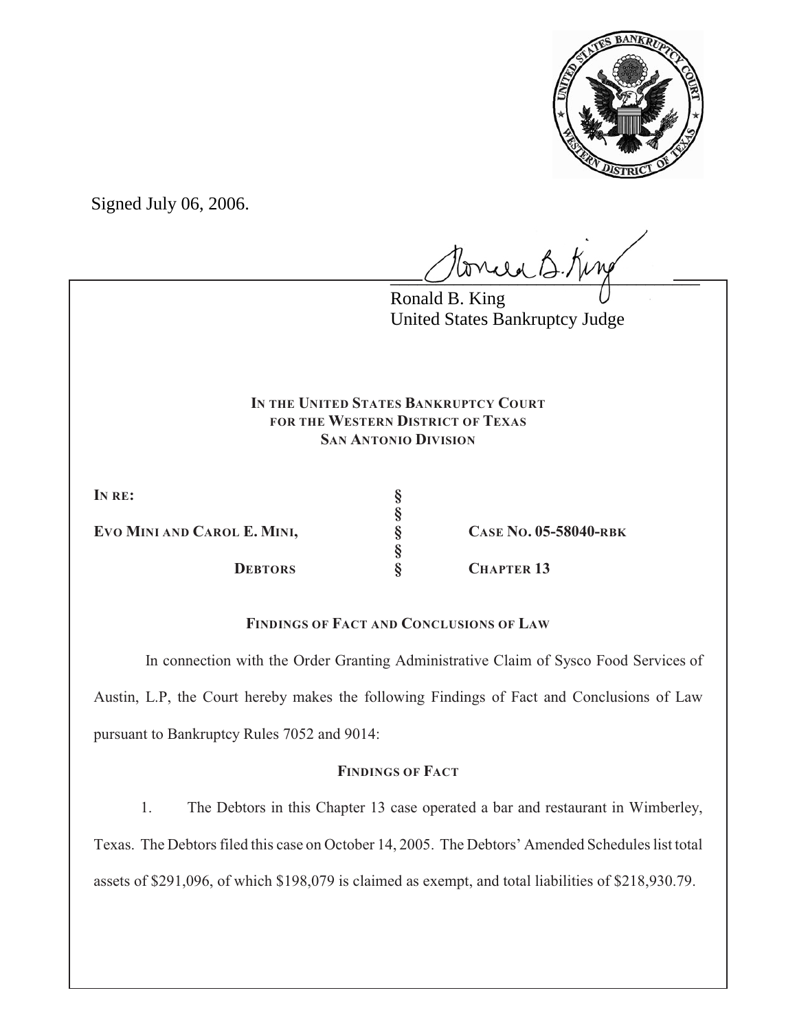

Signed July 06, 2006.

 $l$ oncea B. King

Ronald B. King United States Bankruptcy Judge

### **IN THE UNITED STATES BANKRUPTCY COURT FOR THE WESTERN DISTRICT OF TEXAS SAN ANTONIO DIVISION**

**§**

**§**

**IN RE: §**

**EVO MINI AND CAROL E. MINI, § CASE NO. 05-58040-RBK**

**DEBTORS § CHAPTER 13**

# **FINDINGS OF FACT AND CONCLUSIONS OF LAW**

 In connection with the Order Granting Administrative Claim of Sysco Food Services of Austin, L.P, the Court hereby makes the following Findings of Fact and Conclusions of Law pursuant to Bankruptcy Rules 7052 and 9014:

# **FINDINGS OF FACT**

1. The Debtors in this Chapter 13 case operated a bar and restaurant in Wimberley,

Texas. The Debtors filed this case on October 14, 2005. The Debtors' Amended Schedules list total

assets of \$291,096, of which \$198,079 is claimed as exempt, and total liabilities of \$218,930.79.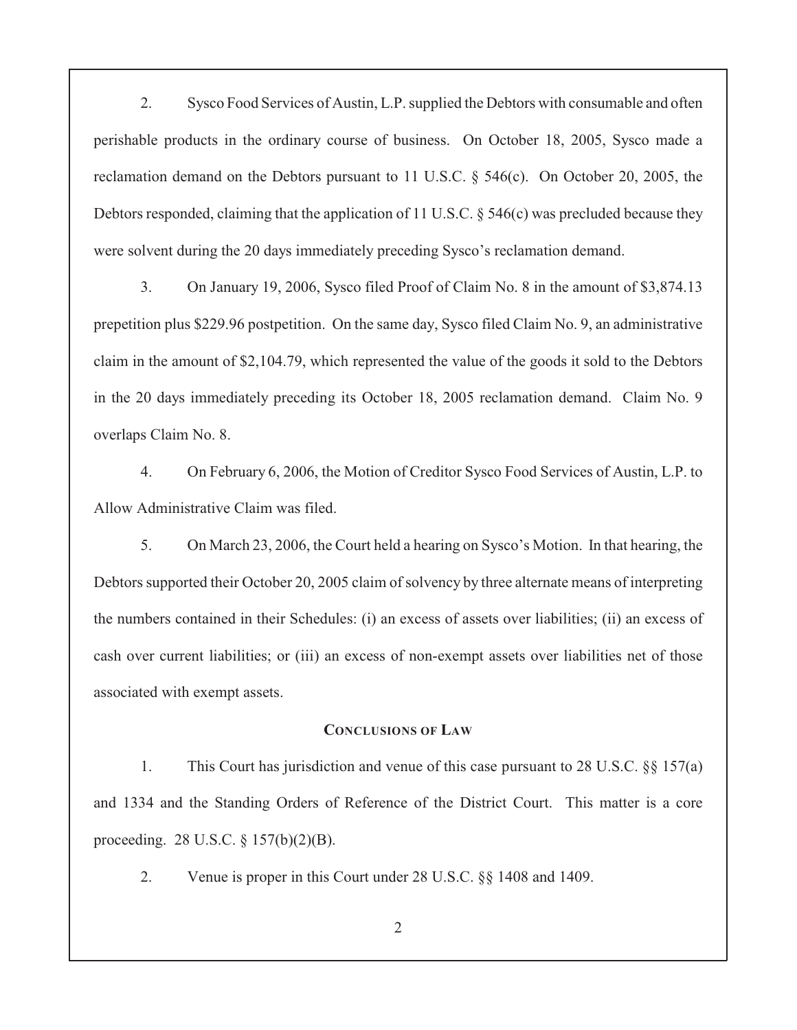2. Sysco Food Services of Austin, L.P. supplied the Debtors with consumable and often perishable products in the ordinary course of business. On October 18, 2005, Sysco made a reclamation demand on the Debtors pursuant to 11 U.S.C. § 546(c). On October 20, 2005, the Debtors responded, claiming that the application of 11 U.S.C. § 546(c) was precluded because they were solvent during the 20 days immediately preceding Sysco's reclamation demand.

3. On January 19, 2006, Sysco filed Proof of Claim No. 8 in the amount of \$3,874.13 prepetition plus \$229.96 postpetition. On the same day, Sysco filed Claim No. 9, an administrative claim in the amount of \$2,104.79, which represented the value of the goods it sold to the Debtors in the 20 days immediately preceding its October 18, 2005 reclamation demand. Claim No. 9 overlaps Claim No. 8.

4. On February 6, 2006, the Motion of Creditor Sysco Food Services of Austin, L.P. to Allow Administrative Claim was filed.

5. On March 23, 2006, the Court held a hearing on Sysco's Motion. In that hearing, the Debtors supported their October 20, 2005 claim of solvency by three alternate means of interpreting the numbers contained in their Schedules: (i) an excess of assets over liabilities; (ii) an excess of cash over current liabilities; or (iii) an excess of non-exempt assets over liabilities net of those associated with exempt assets.

#### **CONCLUSIONS OF LAW**

1. This Court has jurisdiction and venue of this case pursuant to 28 U.S.C. §§ 157(a) and 1334 and the Standing Orders of Reference of the District Court. This matter is a core proceeding. 28 U.S.C. § 157(b)(2)(B).

2. Venue is proper in this Court under 28 U.S.C. §§ 1408 and 1409.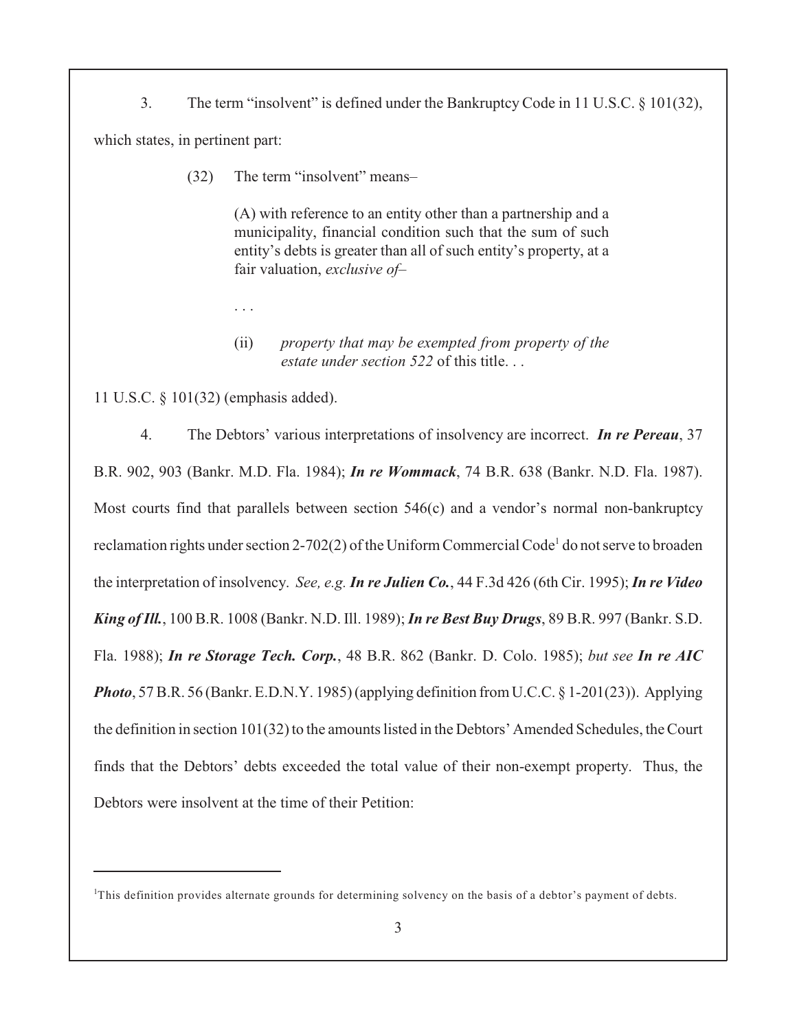3. The term "insolvent" is defined under the Bankruptcy Code in 11 U.S.C. § 101(32), which states, in pertinent part:

(32) The term "insolvent" means–

(A) with reference to an entity other than a partnership and a municipality, financial condition such that the sum of such entity's debts is greater than all of such entity's property, at a fair valuation, *exclusive of*–

#### (ii) *property that may be exempted from property of the estate under section 522* of this title.

11 U.S.C. § 101(32) (emphasis added).

. . .

4. The Debtors' various interpretations of insolvency are incorrect. *In re Pereau*, 37 B.R. 902, 903 (Bankr. M.D. Fla. 1984); *In re Wommack*, 74 B.R. 638 (Bankr. N.D. Fla. 1987). Most courts find that parallels between section 546(c) and a vendor's normal non-bankruptcy reclamation rights under section 2-702(2) of the Uniform Commercial Code<sup>1</sup> do not serve to broaden the interpretation of insolvency. *See, e.g. In re Julien Co.*, 44 F.3d 426 (6th Cir. 1995); *In re Video King of Ill.*, 100 B.R. 1008 (Bankr. N.D. Ill. 1989);*In re Best Buy Drugs*, 89 B.R. 997 (Bankr. S.D. Fla. 1988); *In re Storage Tech. Corp.*, 48 B.R. 862 (Bankr. D. Colo. 1985); *but see In re AIC Photo*, 57 B.R. 56 (Bankr. E.D.N.Y. 1985) (applying definition from U.C.C. § 1-201(23)). Applying the definition in section 101(32) to the amounts listed in the Debtors' Amended Schedules, the Court finds that the Debtors' debts exceeded the total value of their non-exempt property. Thus, the Debtors were insolvent at the time of their Petition:

 $<sup>1</sup>$ This definition provides alternate grounds for determining solvency on the basis of a debtor's payment of debts.</sup>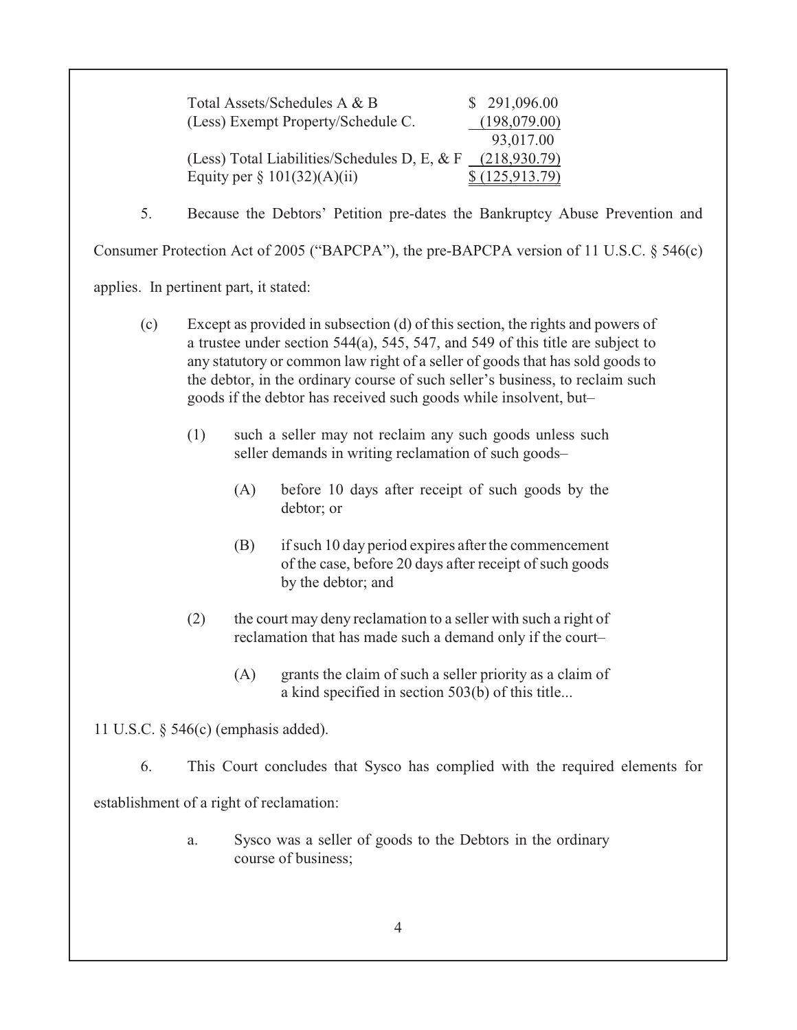| Total Assets/Schedules A & B                 | \$291,096.00   |
|----------------------------------------------|----------------|
| (Less) Exempt Property/Schedule C.           | (198,079.00)   |
|                                              | 93,017.00      |
| (Less) Total Liabilities/Schedules D, E, & F | (218,930.79)   |
| Equity per $\S 101(32)(A)(ii)$               | \$(125,913.79) |

5. Because the Debtors' Petition pre-dates the Bankruptcy Abuse Prevention and

Consumer Protection Act of 2005 ("BAPCPA"), the pre-BAPCPA version of 11 U.S.C. § 546(c)

applies. In pertinent part, it stated:

- (c) Except as provided in subsection (d) of this section, the rights and powers of a trustee under section 544(a), 545, 547, and 549 of this title are subject to any statutory or common law right of a seller of goods that has sold goods to the debtor, in the ordinary course of such seller's business, to reclaim such goods if the debtor has received such goods while insolvent, but–
	- (1) such a seller may not reclaim any such goods unless such seller demands in writing reclamation of such goods–
		- (A) before 10 days after receipt of such goods by the debtor; or
		- (B) if such 10 day period expires after the commencement of the case, before 20 days after receipt of such goods by the debtor; and
	- (2) the court may deny reclamation to a seller with such a right of reclamation that has made such a demand only if the court–
		- (A) grants the claim of such a seller priority as a claim of a kind specified in section 503(b) of this title...

11 U.S.C. § 546(c) (emphasis added).

6. This Court concludes that Sysco has complied with the required elements for

establishment of a right of reclamation:

a. Sysco was a seller of goods to the Debtors in the ordinary course of business;